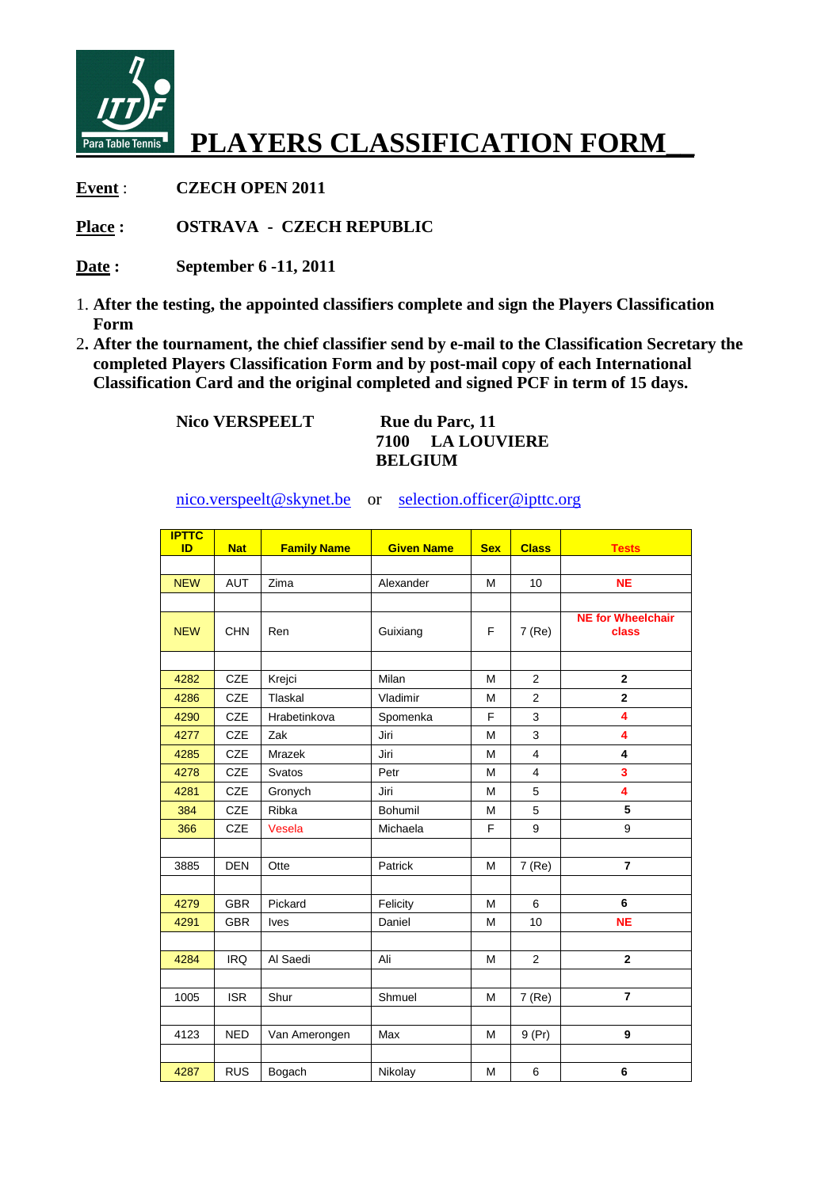

## **PLAYERS CLASSIFICATION FORM\_\_**

**Event** : **CZECH OPEN 2011** 

**Place : OSTRAVA - CZECH REPUBLIC** 

- **Date : September 6 -11, 2011**
- 1. **After the testing, the appointed classifiers complete and sign the Players Classification Form**
- 2**. After the tournament, the chief classifier send by e-mail to the Classification Secretary the completed Players Classification Form and by post-mail copy of each International Classification Card and the original completed and signed PCF in term of 15 days.**

Nico VERSPEELT Rue du Parc, 11

**7100 LA LOUVIERE BELGIUM** 

nico.verspeelt@skynet.be or selection.officer@ipttc.org

| <b>IPTTC</b><br>ID | <b>Nat</b> | <b>Family Name</b> | <b>Given Name</b> | <b>Sex</b> | <b>Class</b>   | <b>Tests</b>                      |
|--------------------|------------|--------------------|-------------------|------------|----------------|-----------------------------------|
|                    |            |                    |                   |            |                |                                   |
| <b>NEW</b>         | AUT        | Zima               | Alexander         | M          | 10             | <b>NE</b>                         |
|                    |            |                    |                   |            |                |                                   |
| <b>NEW</b>         | <b>CHN</b> | Ren                | Guixiang          | F          | 7 (Re)         | <b>NE for Wheelchair</b><br>class |
|                    |            |                    |                   |            |                |                                   |
| 4282               | CZE        | Krejci             | Milan             | M          | 2              | $\overline{2}$                    |
| 4286               | CZE        | Tlaskal            | Vladimir          | M          | 2              | $\overline{2}$                    |
| 4290               | <b>CZE</b> | Hrabetinkova       | Spomenka          | F          | 3              | 4                                 |
| 4277               | <b>CZE</b> | Zak                | Jiri              | M          | 3              | 4                                 |
| 4285               | <b>CZE</b> | <b>Mrazek</b>      | Jiri              | M          | $\overline{4}$ | $\overline{\mathbf{4}}$           |
| 4278               | <b>CZE</b> | Svatos             | Petr              | M          | $\overline{4}$ | 3                                 |
| 4281               | <b>CZE</b> | Gronych            | Jiri              | M          | 5              | 4                                 |
| 384                | <b>CZE</b> | Ribka              | Bohumil           | M          | 5              | 5                                 |
| 366                | CZE        | Vesela             | Michaela          | F          | 9              | 9                                 |
|                    |            |                    |                   |            |                |                                   |
| 3885               | <b>DEN</b> | Otte               | Patrick           | M          | 7(Re)          | $\overline{7}$                    |
|                    |            |                    |                   |            |                |                                   |
| 4279               | <b>GBR</b> | Pickard            | Felicity          | M          | 6              | 6                                 |
| 4291               | <b>GBR</b> | <b>Ives</b>        | Daniel            | M          | 10             | <b>NE</b>                         |
|                    |            |                    |                   |            |                |                                   |
| 4284               | <b>IRQ</b> | Al Saedi           | Ali               | M          | $\overline{2}$ | $\mathbf{2}$                      |
|                    |            |                    |                   |            |                |                                   |
| 1005               | <b>ISR</b> | Shur               | Shmuel            | M          | 7 (Re)         | $\overline{7}$                    |
|                    |            |                    |                   |            |                |                                   |
| 4123               | <b>NED</b> | Van Amerongen      | Max               | M          | 9(Pr)          | 9                                 |
|                    |            |                    |                   |            |                |                                   |
| 4287               | <b>RUS</b> | Bogach             | Nikolay           | M          | 6              | 6                                 |